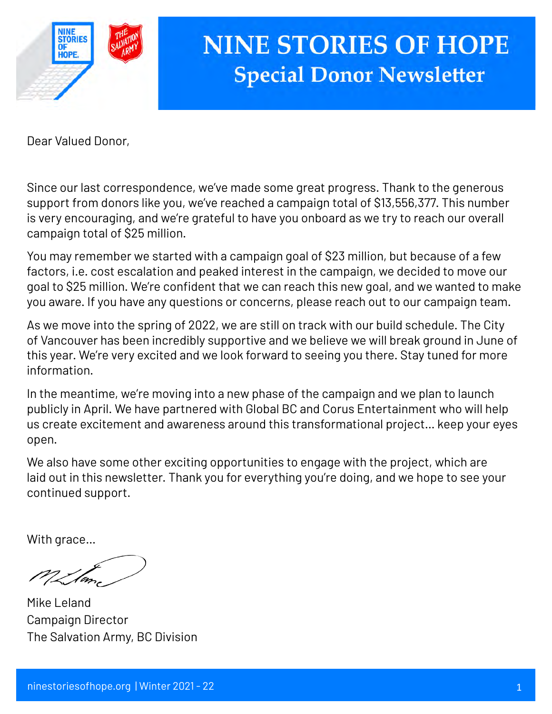

# **NINE STORIES OF HOPE Special Donor Newsletter**

Dear Valued Donor,

 $\frac{1}{2}$ Since our last correspondence, we've made some great progress. Thank to the generous support from donors like you, we've reached a campaign total of \$13,556,377. This number is very encouraging, and we're grateful to have you onboard as we try to reach our overall campaign total of \$25 million.

You may remember we started with a campaign goal of \$23 million, but because of a few factors, i.e. cost escalation and peaked interest in the campaign, we decided to move our goal to \$25 million. We're confident that we can reach this new goal, and we wanted to make you aware. If you have any questions or concerns, please reach out to our campaign team.

As we move into the spring of 2022, we are still on track with our build schedule. The City of Vancouver has been incredibly supportive and we believe we will break ground in June of this year. We're very excited and we look forward to seeing you there. Stay tuned for more information.

In the meantime, we're moving into a new phase of the campaign and we plan to launch publicly in April. We have partnered with Global BC and Corus Entertainment who will help us create excitement and awareness around this transformational project… keep your eyes open.

We also have some other exciting opportunities to engage with the project, which are laid out in this newsletter. Thank you for everything you're doing, and we hope to see your continued support.

With grace…

V\_Same

Mike Leland Campaign Director The Salvation Army, BC Division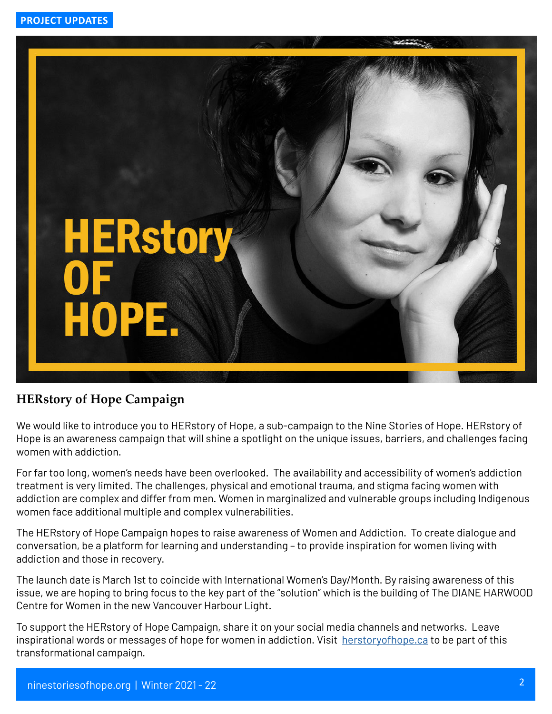

### **HERstory of Hope Campaign**

We would like to introduce you to HERstory of Hope, a sub-campaign to the Nine Stories of Hope. HERstory of Hope is an awareness campaign that will shine a spotlight on the unique issues, barriers, and challenges facing women with addiction.

For far too long, women's needs have been overlooked. The availability and accessibility of women's addiction treatment is very limited. The challenges, physical and emotional trauma, and stigma facing women with addiction are complex and differ from men. Women in marginalized and vulnerable groups including Indigenous women face additional multiple and complex vulnerabilities.

The HERstory of Hope Campaign hopes to raise awareness of Women and Addiction. To create dialogue and conversation, be a platform for learning and understanding – to provide inspiration for women living with addiction and those in recovery.

The launch date is March 1st to coincide with International Women's Day/Month. By raising awareness of this issue, we are hoping to bring focus to the key part of the "solution" which is the building of The DIANE HARWOOD Centre for Women in the new Vancouver Harbour Light.

To support the HERstory of Hope Campaign, share it on your social media channels and networks. Leave inspirational words or messages of hope for women in addiction. Visit [herstoryofhope.ca](https://herstoryofhope.ca/) to be part of this transformational campaign.